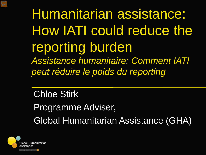Humanitarian assistance: How IATI could reduce the reporting burden *Assistance humanitaire: Comment IATI peut réduire le poids du reporting* 

Chloe Stirk Programme Adviser, Global Humanitarian Assistance (GHA)

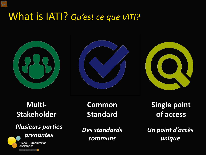# What is IATI? *Qu'est ce que IATI?*







### **Multi-Stakeholder**

# *Plusieurs parties*



**Common Standard**

*Des standards communs*

**Single point of access**

*Un point d'accès unique*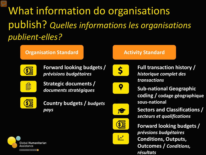What information do organisations publish? *Quelles informations les organisations publient-elles?*

#### **Organisation Standard Communisty Standard Activity Standard**



**Forward looking budgets /**  *prévisions budgétaires*



**Strategic documents /**  *documents stratégiques*



**Country budgets /** *budgets pays*



 $\overline{\mathsf{S}}$ 



Ń

SE

 $\boldsymbol{\mathcal{N}}$ 



**Sub-national Geographic coding / codage géographique sous-national**



**Conditions, Outputs, Outcomes /** *Conditions, résultats* **Forward looking budgets /**  *prévsions budgétaires*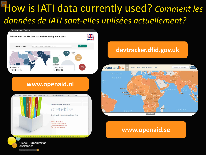# How is IATI data currently used? *Comment les données de IATI sont-elles utilisées actuellement?*



A DEVELOPMENT INITIATIVE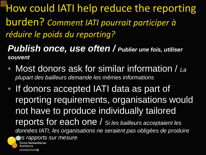How could IATI help reduce the reporting burden? *Comment IATI pourrait participer à réduire le poids du reporting?*

*Publish once, use often / Publier une fois, utiliser souvent*

- Most donors ask for similar information / *La plupart des bailleurs demande les mêmes informations*
- If donors accepted IATI data as part of reporting requirements, organisations would not have to produce individually tailored reports for each one / *Si les bailleurs acceptaient les données IATI, les organisations ne seraient pas obligées de produire des rapports sur mesure*Global Humanitarian

A DEVELOPMENT INITIATIVE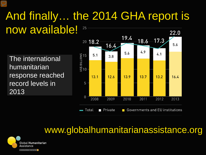### And finally… the 2014 GHA report is now available! 25 22.0

The international humanitarian response reached record levels in 2013



## www.globalhumanitarianassistance.org